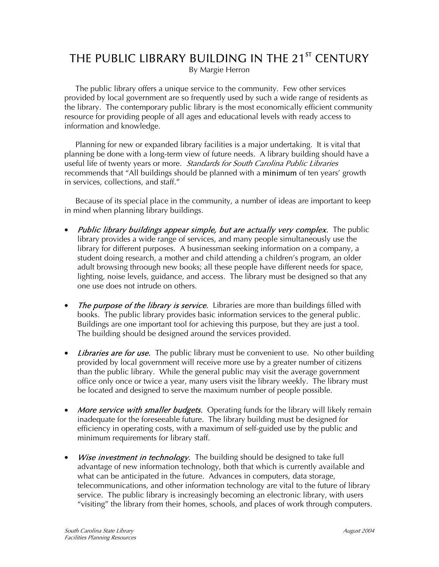## THE PUBLIC LIBRARY BUILDING IN THE 21<sup>ST</sup> CENTURY

By Margie Herron

 The public library offers a unique service to the community. Few other services provided by local government are so frequently used by such a wide range of residents as the library. The contemporary public library is the most economically efficient community resource for providing people of all ages and educational levels with ready access to information and knowledge.

 Planning for new or expanded library facilities is a major undertaking. It is vital that planning be done with a long-term view of future needs. A library building should have a useful life of twenty years or more. Standards for South Carolina Public Libraries recommends that "All buildings should be planned with a minimum of ten years' growth in services, collections, and staff."

 Because of its special place in the community, a number of ideas are important to keep in mind when planning library buildings.

- **Public library buildings appear simple, but are actually very complex.** The public library provides a wide range of services, and many people simultaneously use the library for different purposes. A businessman seeking information on a company, a student doing research, a mother and child attending a children's program, an older adult browsing throough new books; all these people have different needs for space, lighting, noise levels, guidance, and access. The library must be designed so that any one use does not intrude on others.
- The purpose of the library is service. Libraries are more than buildings filled with books. The public library provides basic information services to the general public. Buildings are one important tool for achieving this purpose, but they are just a tool. The building should be designed around the services provided.
- Libraries are for use. The public library must be convenient to use. No other building provided by local government will receive more use by a greater number of citizens than the public library. While the general public may visit the average government office only once or twice a year, many users visit the library weekly. The library must be located and designed to serve the maximum number of people possible.
- **More service with smaller budgets.** Operating funds for the library will likely remain inadequate for the foreseeable future. The library building must be designed for efficiency in operating costs, with a maximum of self-guided use by the public and minimum requirements for library staff.
- Wise investment in technology. The building should be designed to take full advantage of new information technology, both that which is currently available and what can be anticipated in the future. Advances in computers, data storage, telecommunications, and other information technology are vital to the future of library service. The public library is increasingly becoming an electronic library, with users "visiting" the library from their homes, schools, and places of work through computers.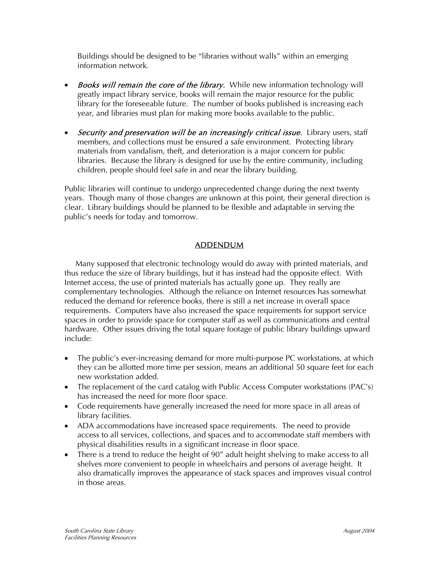Buildings should be designed to be "libraries without walls" within an emerging information network.

- **Books will remain the core of the library.** While new information technology will greatly impact library service, books will remain the major resource for the public library for the foreseeable future. The number of books published is increasing each year, and libraries must plan for making more books available to the public.
- Security and preservation will be an increasingly critical issue. Library users, staff members, and collections must be ensured a safe environment. Protecting library materials from vandalism, theft, and deterioration is a major concern for public libraries. Because the library is designed for use by the entire community, including children, people should feel safe in and near the library building.

Public libraries will continue to undergo unprecedented change during the next twenty years. Though many of those changes are unknown at this point, their general direction is clear. Library buildings should be planned to be flexible and adaptable in serving the public's needs for today and tomorrow.

## ADDENDUM

 Many supposed that electronic technology would do away with printed materials, and thus reduce the size of library buildings, but it has instead had the opposite effect. With Internet access, the use of printed materials has actually gone up. They really are complementary technologies. Although the reliance on Internet resources has somewhat reduced the demand for reference books, there is still a net increase in overall space requirements. Computers have also increased the space requirements for support service spaces in order to provide space for computer staff as well as communications and central hardware. Other issues driving the total square footage of public library buildings upward include:

- The public's ever-increasing demand for more multi-purpose PC workstations, at which they can be allotted more time per session, means an additional 50 square feet for each new workstation added.
- The replacement of the card catalog with Public Access Computer workstations (PAC's) has increased the need for more floor space.
- Code requirements have generally increased the need for more space in all areas of library facilities.
- ADA accommodations have increased space requirements. The need to provide access to all services, collections, and spaces and to accommodate staff members with physical disabilities results in a significant increase in floor space.
- There is a trend to reduce the height of 90" adult height shelving to make access to all shelves more convenient to people in wheelchairs and persons of average height. It also dramatically improves the appearance of stack spaces and improves visual control in those areas.